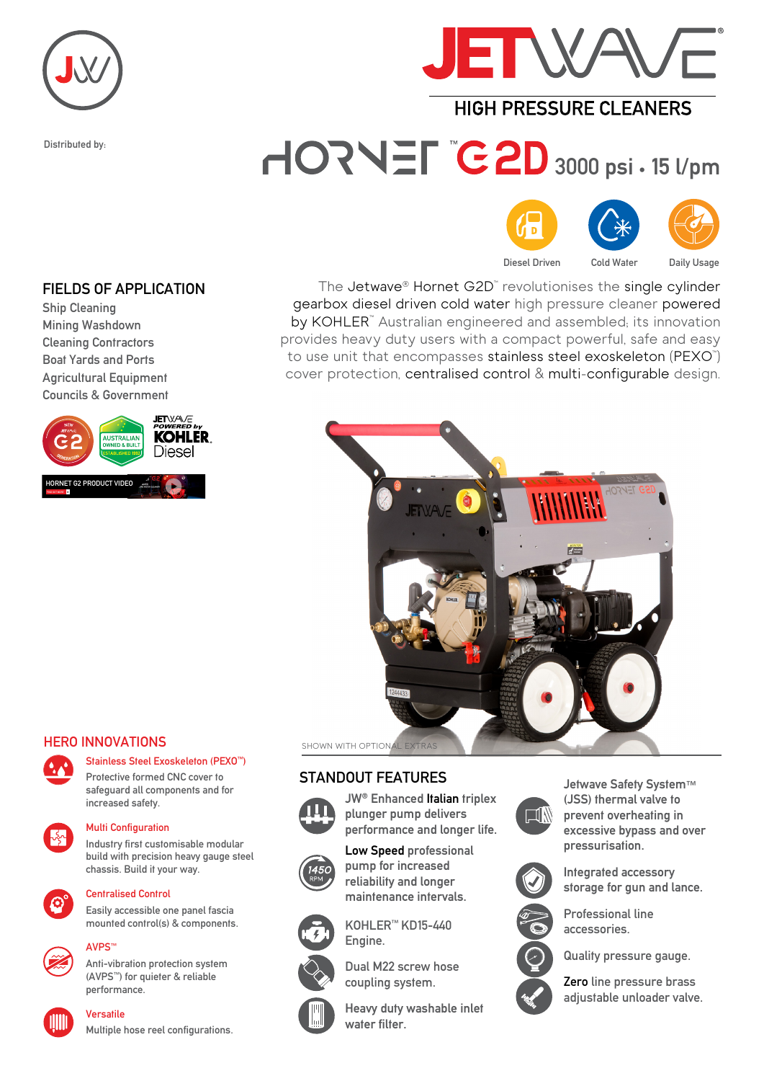

Distributed by:



# **HIGH PRESSURE CI FANERS**

# HORNEL C2D 3000 psi · 15 l/pm





Diesel Driven Cold Water Daily Usage

#### FIELDS OF APPLICATION

Ship Cleaning Mining Washdown Cleaning Contractors Boat Yards and Ports Agricultural Equipment Councils & Government



### The Jetwave® Hornet G2D™ revolutionises the single cylinder gearbox diesel driven cold water high pressure cleaner powered by KOHLER<sup>™</sup> Australian engineered and assembled; its innovation provides heavy duty users with a compact powerful, safe and easy to use unit that encompasses **stainless steel exoskeleton** (PEXO™) cover protection, centralised control & multi-configurable design.



# HERO INNOVATIONS



## Stainless Steel Exoskeleton (PEXO™)

Protective formed CNC cover to safeguard all components and for increased safety.



#### Multi Configuration

Industry first customisable modular build with precision heavy gauge steel chassis. Build it your way.



### Centralised Control

Easily accessible one panel fascia mounted control(s) & components.

#### AVPS™



Anti-vibration protection system (AVPS™) for quieter & reliable performance.



## Versatile

Multiple hose reel configurations.

#### STANDOUT FEATURES



JW® Enhanced Italian triplex plunger pump delivers performance and longer life.

Low Speed professional pump for increased reliability and longer maintenance intervals.



Engine.



Dual M22 screw hose

KOHLER™ KD15-440



Heavy duty washable inlet water filter.



Jetwave Safety System™ (JSS) thermal valve to prevent overheating in excessive bypass and over pressurisation.



Integrated accessory storage for gun and lance. Professional line



Quality pressure gauge.

accessories.